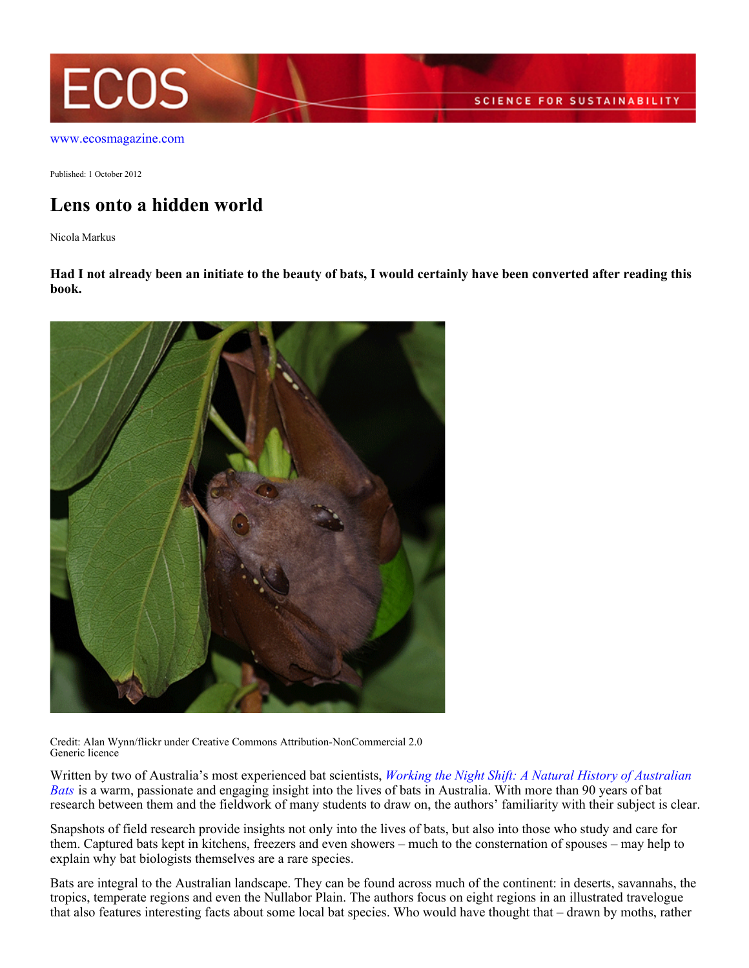

[www.ecosmagazine.com](http://www.ecosmagazine.com)

Published: 1 October 2012

## **Lens onto a hidden world**

Nicola Markus

**Had I not already been an initiate to the beauty of bats, I would certainly have been converted after reading this book.**



Credit: Alan Wynn/flickr under Creative Commons Attribution-NonCommercial 2.0 Generic licence

Written by two of Australia's most experienced bat scientists, *[Working the Night Shift: A Natural History of Australian](http://www.publish.csiro.au/nid/20/pid/6783.htm) [Bats](http://www.publish.csiro.au/nid/20/pid/6783.htm)* is a warm, passionate and engaging insight into the lives of bats in Australia. With more than 90 years of bat research between them and the fieldwork of many students to draw on, the authors' familiarity with their subject is clear.

Snapshots of field research provide insights not only into the lives of bats, but also into those who study and care for them. Captured bats kept in kitchens, freezers and even showers – much to the consternation of spouses – may help to explain why bat biologists themselves are a rare species.

Bats are integral to the Australian landscape. They can be found across much of the continent: in deserts, savannahs, the tropics, temperate regions and even the Nullabor Plain. The authors focus on eight regions in an illustrated travelogue that also features interesting facts about some local bat species. Who would have thought that – drawn by moths, rather